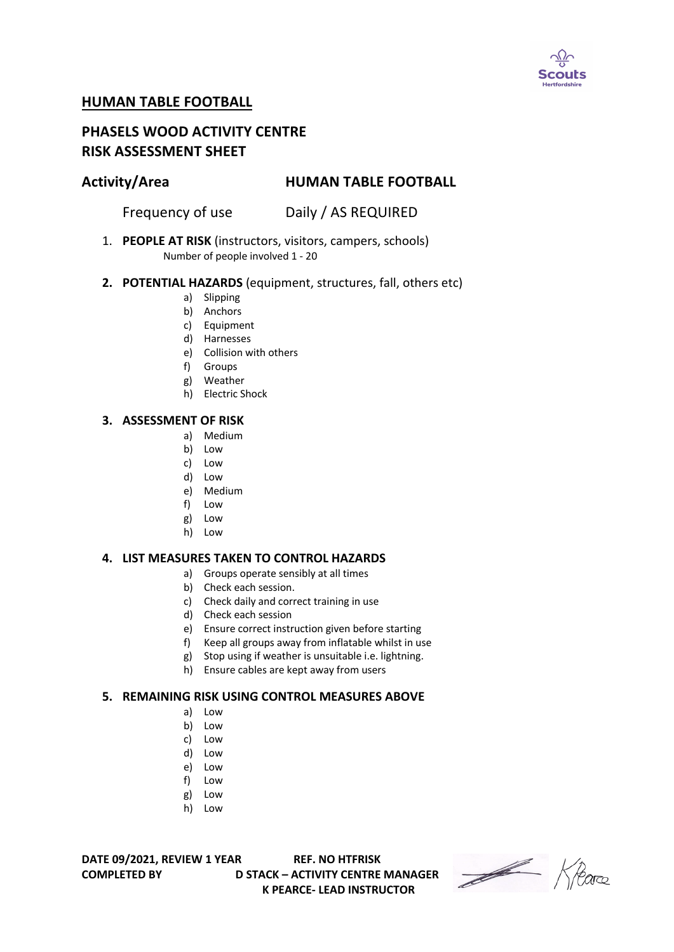

# **HUMAN TABLE FOOTBALL**

# **PHASELS WOOD ACTIVITY CENTRE RISK ASSESSMENT SHEET**

# **Activity/Area HUMAN TABLE FOOTBALL**

Frequency of use Daily / AS REQUIRED

1. **PEOPLE AT RISK** (instructors, visitors, campers, schools) Number of people involved 1 - 20

### **2. POTENTIAL HAZARDS** (equipment, structures, fall, others etc)

- a) Slipping
- b) Anchors
- c) Equipment
- d) Harnesses
- e) Collision with others
- f) Groups
- g) Weather
- h) Electric Shock

#### **3. ASSESSMENT OF RISK**

- a) Medium
- b) Low
- c) Low
- d) Low
- e) Medium
- f) Low
- g) Low
- h) Low

### **4. LIST MEASURES TAKEN TO CONTROL HAZARDS**

- a) Groups operate sensibly at all times
	- b) Check each session.
	- c) Check daily and correct training in use
	- d) Check each session
	- e) Ensure correct instruction given before starting
	- f) Keep all groups away from inflatable whilst in use
	- g) Stop using if weather is unsuitable i.e. lightning.
	- h) Ensure cables are kept away from users

### **5. REMAINING RISK USING CONTROL MEASURES ABOVE**

- a) Low
- b) Low
- c) Low
- d) Low
- e) Low
- f) Low
- g) Low
- h) Low

**DATE 09/2021, REVIEW 1 YEAR REF. NO HTFRISK**

**COMPLETED BY D STACK – ACTIVITY CENTRE MANAGER K PEARCE- LEAD INSTRUCTOR** 

Heare